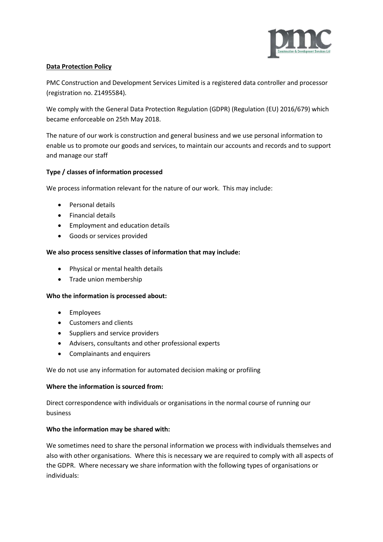

# **Data Protection Policy**

PMC Construction and Development Services Limited is a registered data controller and processor (registration no. Z1495584).

We comply with the General Data Protection Regulation (GDPR) (Regulation (EU) 2016/679) which became enforceable on 25th May 2018.

The nature of our work is construction and general business and we use personal information to enable us to promote our goods and services, to maintain our accounts and records and to support and manage our staff

## **Type / classes of information processed**

We process information relevant for the nature of our work. This may include:

- Personal details
- Financial details
- Employment and education details
- Goods or services provided

### **We also process sensitive classes of information that may include:**

- Physical or mental health details
- Trade union membership

### **Who the information is processed about:**

- Employees
- Customers and clients
- Suppliers and service providers
- Advisers, consultants and other professional experts
- Complainants and enquirers

We do not use any information for automated decision making or profiling

### **Where the information is sourced from:**

Direct correspondence with individuals or organisations in the normal course of running our business

### **Who the information may be shared with:**

We sometimes need to share the personal information we process with individuals themselves and also with other organisations. Where this is necessary we are required to comply with all aspects of the GDPR. Where necessary we share information with the following types of organisations or individuals: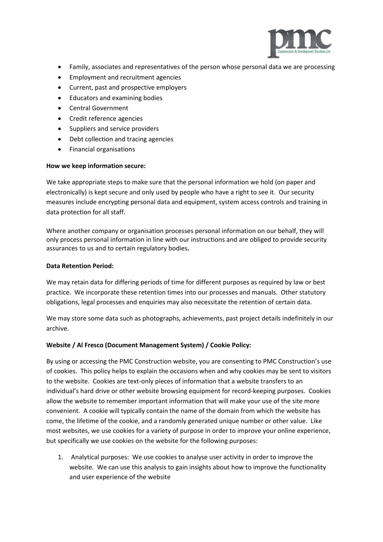

- Family, associates and representatives of the person whose personal data we are processing
- Employment and recruitment agencies
- Current, past and prospective employers
- Educators and examining bodies
- Central Government
- Credit reference agencies
- Suppliers and service providers
- Debt collection and tracing agencies
- Financial organisations

### **How we keep information secure:**

We take appropriate steps to make sure that the personal information we hold (on paper and electronically) is kept secure and only used by people who have a right to see it. Our security measures include encrypting personal data and equipment, system access controls and training in data protection for all staff.

Where another company or organisation processes personal information on our behalf, they will only process personal information in line with our instructions and are obliged to provide security assurances to us and to certain regulatory bodies**.**

### **Data Retention Period:**

We may retain data for differing periods of time for different purposes as required by law or best practice. We incorporate these retention times into our processes and manuals. Other statutory obligations, legal processes and enquiries may also necessitate the retention of certain data.

We may store some data such as photographs, achievements, past project details indefinitely in our archive.

### **Website / Al Fresco (Document Management System) / Cookie Policy:**

By using or accessing the PMC Construction website, you are consenting to PMC Construction's use of cookies. This policy helps to explain the occasions when and why cookies may be sent to visitors to the website. Cookies are text-only pieces of information that a website transfers to an individual's hard drive or other website browsing equipment for record-keeping purposes. Cookies allow the website to remember important information that will make your use of the site more convenient. A cookie will typically contain the name of the domain from which the website has come, the lifetime of the cookie, and a randomly generated unique number or other value. Like most websites, we use cookies for a variety of purpose in order to improve your online experience, but specifically we use cookies on the website for the following purposes:

1. Analytical purposes: We use cookies to analyse user activity in order to improve the website. We can use this analysis to gain insights about how to improve the functionality and user experience of the website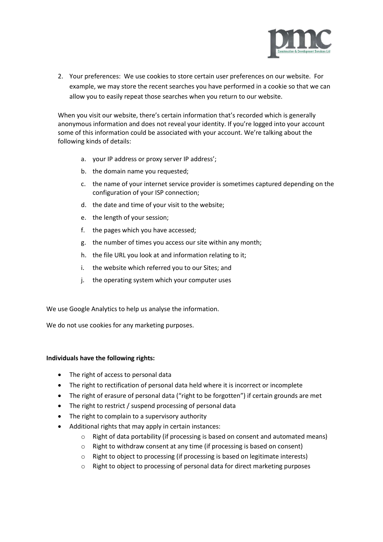

2. Your preferences: We use cookies to store certain user preferences on our website. For example, we may store the recent searches you have performed in a cookie so that we can allow you to easily repeat those searches when you return to our website.

When you visit our website, there's certain information that's recorded which is generally anonymous information and does not reveal your identity. If you're logged into your account some of this information could be associated with your account. We're talking about the following kinds of details:

- a. your IP address or proxy server IP address';
- b. the domain name you requested;
- c. the name of your internet service provider is sometimes captured depending on the configuration of your ISP connection;
- d. the date and time of your visit to the website;
- e. the length of your session;
- f. the pages which you have accessed;
- g. the number of times you access our site within any month;
- h. the file URL you look at and information relating to it;
- i. the website which referred you to our Sites; and
- j. the operating system which your computer uses

We use Google Analytics to help us analyse the information.

We do not use cookies for any marketing purposes.

### **Individuals have the following rights:**

- The right of access to personal data
- The right to rectification of personal data held where it is incorrect or incomplete
- The right of erasure of personal data ("right to be forgotten") if certain grounds are met
- The right to restrict / suspend processing of personal data
- The right to complain to a supervisory authority
- Additional rights that may apply in certain instances:
	- $\circ$  Right of data portability (if processing is based on consent and automated means)
	- o Right to withdraw consent at any time (if processing is based on consent)
	- o Right to object to processing (if processing is based on legitimate interests)
	- o Right to object to processing of personal data for direct marketing purposes